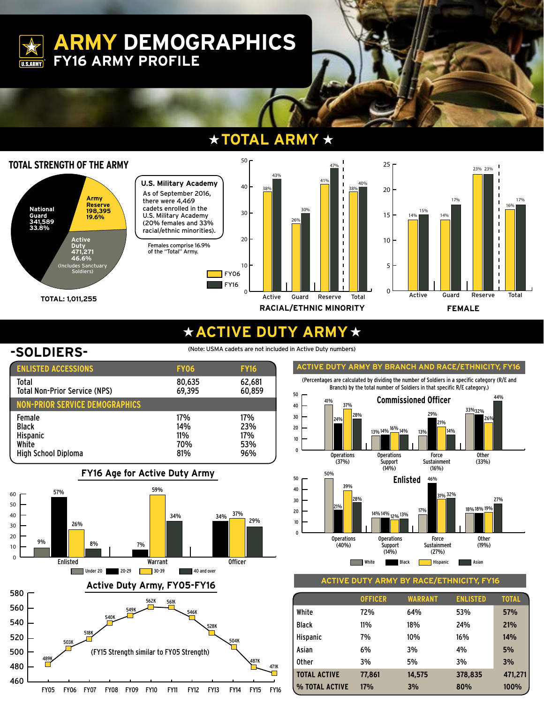**ARMY DEMOGRAPHICS FY16 ARMY PROFILE**

#### **TOTAL ARMY** ★



## **ACTIVE DUTY ARMY**

**U.S.ARMY** 

**-SOLDIERS-** (Note: USMA cadets are not included in Active Duty numbers)

| <b>ENLISTED ACCESSIONS</b>                                                       | <b>FY06</b>                     | <b>FY16</b>                     |
|----------------------------------------------------------------------------------|---------------------------------|---------------------------------|
| Total<br><b>Total Non-Prior Service (NPS)</b>                                    | 80,635<br>69,395                | 62,681<br>60,859                |
| <b>NON-PRIOR SERVICE DEMOGRAPHICS</b>                                            |                                 |                                 |
| Female<br><b>Black</b><br><b>Hispanic</b><br>White<br><b>High School Diploma</b> | 17%<br>14%<br>11%<br>70%<br>81% | 17%<br>23%<br>17%<br>53%<br>96% |
|                                                                                  |                                 |                                 |







**ACTIVE DUTY ARMY BY RACE/ETHNICITY, FY16**

|                     | <b>OFFICER</b> | <b>WARRANT</b> | <b>ENLISTED</b> | <b>TOTAL</b> |
|---------------------|----------------|----------------|-----------------|--------------|
| White               | 72%            | 64%            | 53%             | 57%          |
| <b>Black</b>        | 11%            | 18%            | 24%             | 21%          |
| <b>Hispanic</b>     | 7%             | 10%            | 16%             | 14%          |
| Asian               | 6%             | 3%             | 4%              | 5%           |
| <b>Other</b>        | 3%             | 5%             | 3%              | 3%           |
| <b>TOTAL ACTIVE</b> | 77,861         | 14,575         | 378,835         | 471,271      |
| % TOTAL ACTIVE      | 17%            | 3%             | 80%             | 100%         |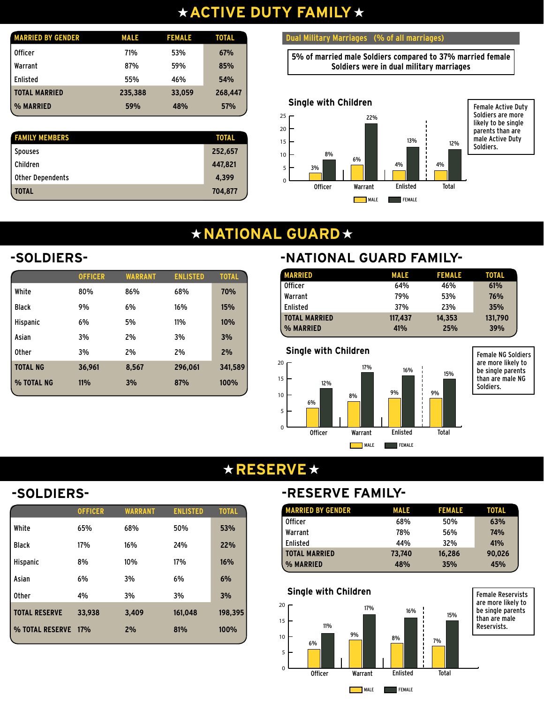# **ACTIVE DUTY FAMILY**

| <b>MARRIED BY GENDER</b> | <b>MALE</b> | <b>FEMALE</b> | <b>TOTAL</b> |
|--------------------------|-------------|---------------|--------------|
| <b>Officer</b>           | 71%         | 53%           | 67%          |
| Warrant                  | 87%         | 59%           | 85%          |
| <b>Enlisted</b>          | 55%         | 46%           | 54%          |
| <b>TOTAL MARRIED</b>     | 235,388     | 33,059        | 268,447      |
| % MARRIED                | 59%         | 48%           | 57%          |

| <b>FAMILY MEMBERS</b>   | <b>TOTAL</b> |
|-------------------------|--------------|
| <b>Spouses</b>          | 252,657      |
| Children                | 447,821      |
| <b>Other Dependents</b> | 4,399        |
| <b>TOTAL</b>            | 704,877      |

#### **Dual Military Marriages (% of all marriages)**

**5% of married male Soldiers compared to 37% married female Soldiers were in dual military marriages**



# **\* NATIONAL GUARD \***

# **-SOLDIERS-**

| <b>OFFICER</b> | <b>WARRANT</b> | <b>ENLISTED</b> | <b>TOTAL</b> |
|----------------|----------------|-----------------|--------------|
| 80%            | 86%            | 68%             | 70%          |
| 9%             | 6%             | 16%             | 15%          |
| 6%             | 5%             | 11%             | 10%          |
| 3%             | 2%             | 3%              | 3%           |
| 3%             | 2%             | 2%              | 2%           |
| 36,961         | 8,567          | 296.061         | 341,589      |
| $11\%$         | 3%             | 87%             | 100%         |
|                |                |                 |              |

## **-NATIONAL GUARD FAMILY-**

| <b>MARRIED</b>       | <b>MALE</b> | <b>FEMALE</b> | <b>TOTAL</b> |  |
|----------------------|-------------|---------------|--------------|--|
| <b>Officer</b>       | 64%         | 46%           | 61%          |  |
| Warrant              | 79%         | 53%           | 76%          |  |
| Enlisted             | 37%         | 23%           | 35%          |  |
| <b>TOTAL MARRIED</b> | 117,437     | 14,353        | 131,790      |  |
| % MARRIED            | 41%         | 25%           | 39%          |  |



# **★RESERVE★**

|              | <b>OFFICER</b> | <b>WARRANT</b> | <b>ENLISTED</b> | <b>TOTAL</b> |
|--------------|----------------|----------------|-----------------|--------------|
| White        | 65%            | 68%            | 50%             | 53%          |
| Black        | 17%            | 16%            | 24%             | 22%          |
| Hispanic     | 8%             | 10%            | 17%             | 16%          |
| Asian        | 6%             | 3%             | 6%              | 6%           |
| <b>Other</b> | 4%             | 3%             | 3%              | 3%           |

**TOTAL RESERVE 33,938 3,409 161,048 198,395 % TOTAL RESERVE 17% 2% 81% 100%**

## **-SOLDIERS- -RESERVE FAMILY-**

| <b>MARRIED BY GENDER</b> | <b>MALE</b> | <b>FEMALE</b> | <b>TOTAL</b> |
|--------------------------|-------------|---------------|--------------|
| <b>Officer</b>           | 68%         | 50%           | 63%          |
| Warrant                  | 78%         | 56%           | 74%          |
| Enlisted                 | 44%         | 32%           | 41%          |
| <b>TOTAL MARRIED</b>     | 73,740      | 16,286        | 90.026       |
| % MARRIED                | 48%         | 35%           | 45%          |